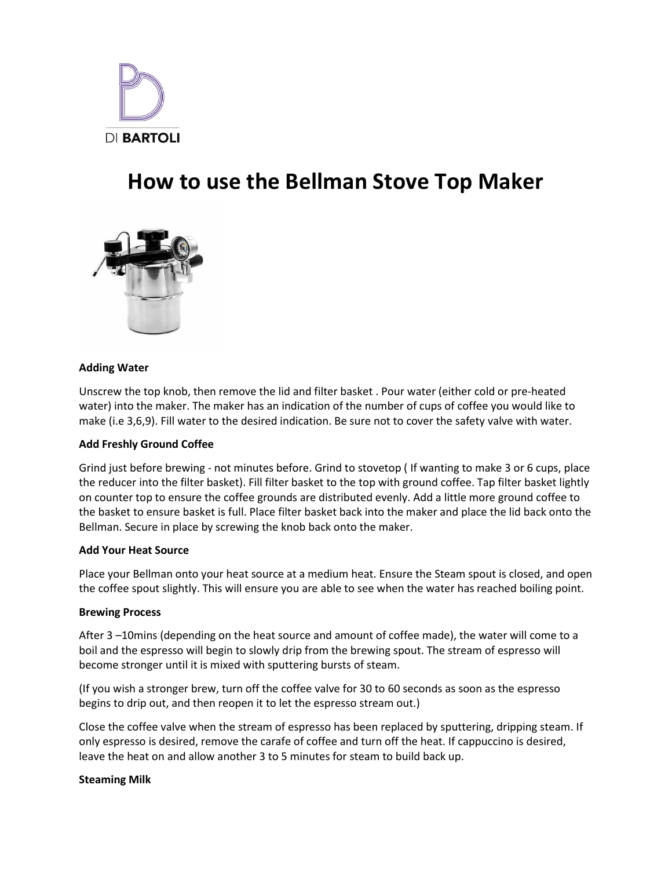

# **How to use the Bellman Stove Top Maker**



### **Adding Water**

Unscrew the top knob, then remove the lid and filter basket . Pour water (either cold or pre-heated water) into the maker. The maker has an indication of the number of cups of coffee you would like to make (i.e 3,6,9). Fill water to the desired indication. Be sure not to cover the safety valve with water.

#### **Add Freshly Ground Coffee**

Grind just before brewing - not minutes before. Grind to stovetop ( If wanting to make 3 or 6 cups, place the reducer into the filter basket). Fill filter basket to the top with ground coffee. Tap filter basket lightly on counter top to ensure the coffee grounds are distributed evenly. Add a little more ground coffee to the basket to ensure basket is full. Place filter basket back into the maker and place the lid back onto the Bellman. Secure in place by screwing the knob back onto the maker.

#### **Add Your Heat Source**

Place your Bellman onto your heat source at a medium heat. Ensure the Steam spout is closed, and open the coffee spout slightly. This will ensure you are able to see when the water has reached boiling point.

#### **Brewing Process**

After 3 –10mins (depending on the heat source and amount of coffee made), the water will come to a boil and the espresso will begin to slowly drip from the brewing spout. The stream of espresso will become stronger until it is mixed with sputtering bursts of steam.

(If you wish a stronger brew, turn off the coffee valve for 30 to 60 seconds as soon as the espresso begins to drip out, and then reopen it to let the espresso stream out.)

Close the coffee valve when the stream of espresso has been replaced by sputtering, dripping steam. If only espresso is desired, remove the carafe of coffee and turn off the heat. If cappuccino is desired, leave the heat on and allow another 3 to 5 minutes for steam to build back up.

#### **Steaming Milk**